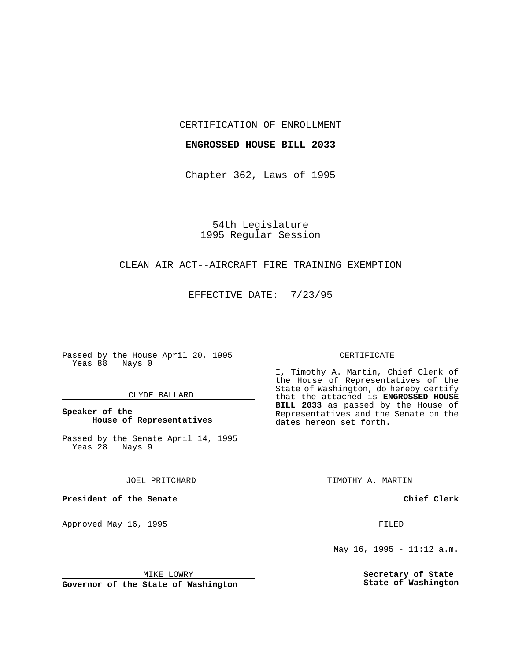#### CERTIFICATION OF ENROLLMENT

### **ENGROSSED HOUSE BILL 2033**

Chapter 362, Laws of 1995

54th Legislature 1995 Regular Session

## CLEAN AIR ACT--AIRCRAFT FIRE TRAINING EXEMPTION

EFFECTIVE DATE: 7/23/95

Passed by the House April 20, 1995 Yeas 88 Nays 0

#### CLYDE BALLARD

## **Speaker of the House of Representatives**

Passed by the Senate April 14, 1995<br>Yeas 28 Nays 9 Yeas 28

JOEL PRITCHARD

**President of the Senate**

Approved May 16, 1995 **FILED** 

#### MIKE LOWRY

**Governor of the State of Washington**

#### CERTIFICATE

I, Timothy A. Martin, Chief Clerk of the House of Representatives of the State of Washington, do hereby certify that the attached is **ENGROSSED HOUSE BILL 2033** as passed by the House of Representatives and the Senate on the dates hereon set forth.

TIMOTHY A. MARTIN

**Chief Clerk**

May 16, 1995 - 11:12 a.m.

**Secretary of State State of Washington**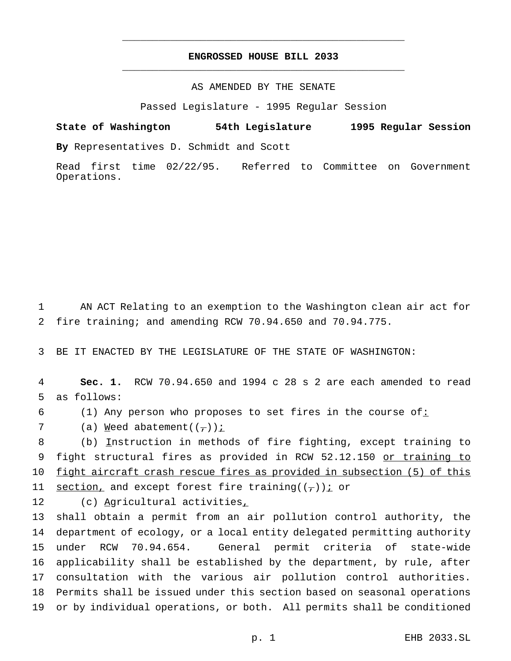# **ENGROSSED HOUSE BILL 2033** \_\_\_\_\_\_\_\_\_\_\_\_\_\_\_\_\_\_\_\_\_\_\_\_\_\_\_\_\_\_\_\_\_\_\_\_\_\_\_\_\_\_\_\_\_\_\_

\_\_\_\_\_\_\_\_\_\_\_\_\_\_\_\_\_\_\_\_\_\_\_\_\_\_\_\_\_\_\_\_\_\_\_\_\_\_\_\_\_\_\_\_\_\_\_

## AS AMENDED BY THE SENATE

Passed Legislature - 1995 Regular Session

**State of Washington 54th Legislature 1995 Regular Session By** Representatives D. Schmidt and Scott

Read first time 02/22/95. Referred to Committee on Government Operations.

1 AN ACT Relating to an exemption to the Washington clean air act for 2 fire training; and amending RCW 70.94.650 and 70.94.775.

3 BE IT ENACTED BY THE LEGISLATURE OF THE STATE OF WASHINGTON:

4 **Sec. 1.** RCW 70.94.650 and 1994 c 28 s 2 are each amended to read 5 as follows:

6 (1) Any person who proposes to set fires in the course of:

7 (a) Weed abatement( $(\frac{\pi}{l})$ ) i

8 (b) Instruction in methods of fire fighting, except training to 9 fight structural fires as provided in RCW 52.12.150 or training to 10 fight aircraft crash rescue fires as provided in subsection (5) of this 11 section, and except forest fire training( $(\tau)$ ); or

12 (c) Agricultural activities,

 shall obtain a permit from an air pollution control authority, the department of ecology, or a local entity delegated permitting authority under RCW 70.94.654. General permit criteria of state-wide applicability shall be established by the department, by rule, after consultation with the various air pollution control authorities. Permits shall be issued under this section based on seasonal operations or by individual operations, or both. All permits shall be conditioned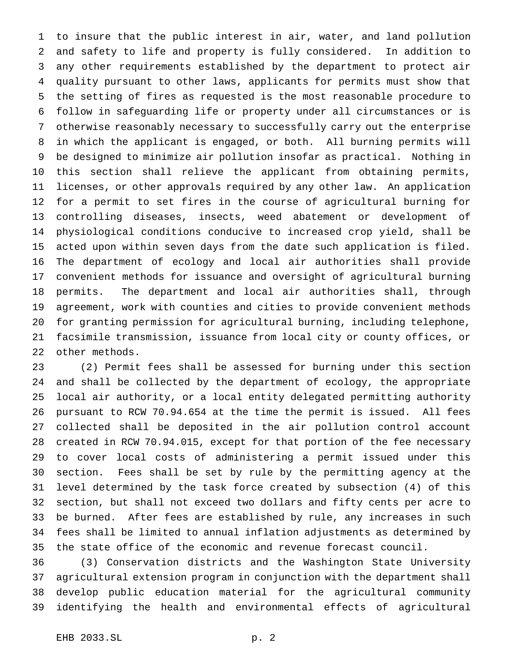to insure that the public interest in air, water, and land pollution and safety to life and property is fully considered. In addition to any other requirements established by the department to protect air quality pursuant to other laws, applicants for permits must show that the setting of fires as requested is the most reasonable procedure to follow in safeguarding life or property under all circumstances or is otherwise reasonably necessary to successfully carry out the enterprise in which the applicant is engaged, or both. All burning permits will be designed to minimize air pollution insofar as practical. Nothing in this section shall relieve the applicant from obtaining permits, licenses, or other approvals required by any other law. An application for a permit to set fires in the course of agricultural burning for controlling diseases, insects, weed abatement or development of physiological conditions conducive to increased crop yield, shall be acted upon within seven days from the date such application is filed. The department of ecology and local air authorities shall provide convenient methods for issuance and oversight of agricultural burning permits. The department and local air authorities shall, through agreement, work with counties and cities to provide convenient methods for granting permission for agricultural burning, including telephone, facsimile transmission, issuance from local city or county offices, or other methods.

 (2) Permit fees shall be assessed for burning under this section and shall be collected by the department of ecology, the appropriate local air authority, or a local entity delegated permitting authority pursuant to RCW 70.94.654 at the time the permit is issued. All fees collected shall be deposited in the air pollution control account created in RCW 70.94.015, except for that portion of the fee necessary to cover local costs of administering a permit issued under this section. Fees shall be set by rule by the permitting agency at the level determined by the task force created by subsection (4) of this section, but shall not exceed two dollars and fifty cents per acre to be burned. After fees are established by rule, any increases in such fees shall be limited to annual inflation adjustments as determined by the state office of the economic and revenue forecast council.

 (3) Conservation districts and the Washington State University agricultural extension program in conjunction with the department shall develop public education material for the agricultural community identifying the health and environmental effects of agricultural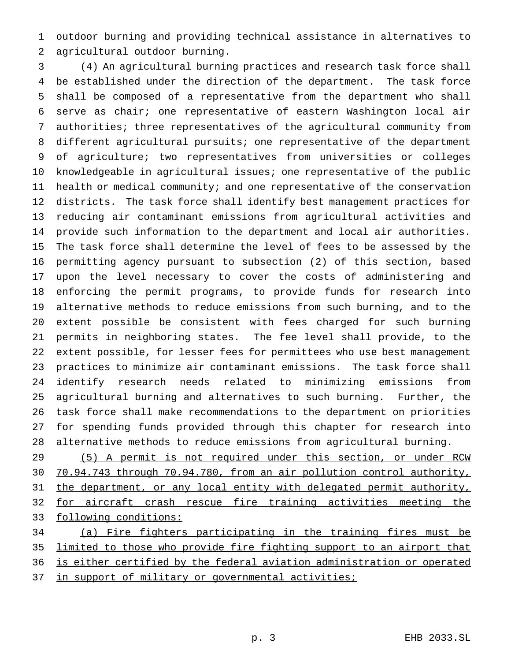outdoor burning and providing technical assistance in alternatives to agricultural outdoor burning.

 (4) An agricultural burning practices and research task force shall be established under the direction of the department. The task force shall be composed of a representative from the department who shall serve as chair; one representative of eastern Washington local air authorities; three representatives of the agricultural community from different agricultural pursuits; one representative of the department of agriculture; two representatives from universities or colleges knowledgeable in agricultural issues; one representative of the public health or medical community; and one representative of the conservation districts. The task force shall identify best management practices for reducing air contaminant emissions from agricultural activities and provide such information to the department and local air authorities. The task force shall determine the level of fees to be assessed by the permitting agency pursuant to subsection (2) of this section, based upon the level necessary to cover the costs of administering and enforcing the permit programs, to provide funds for research into alternative methods to reduce emissions from such burning, and to the extent possible be consistent with fees charged for such burning permits in neighboring states. The fee level shall provide, to the extent possible, for lesser fees for permittees who use best management practices to minimize air contaminant emissions. The task force shall identify research needs related to minimizing emissions from agricultural burning and alternatives to such burning. Further, the task force shall make recommendations to the department on priorities for spending funds provided through this chapter for research into alternative methods to reduce emissions from agricultural burning.

 (5) A permit is not required under this section, or under RCW 70.94.743 through 70.94.780, from an air pollution control authority, 31 the department, or any local entity with delegated permit authority, for aircraft crash rescue fire training activities meeting the following conditions:

 (a) Fire fighters participating in the training fires must be limited to those who provide fire fighting support to an airport that is either certified by the federal aviation administration or operated 37 in support of military or governmental activities;